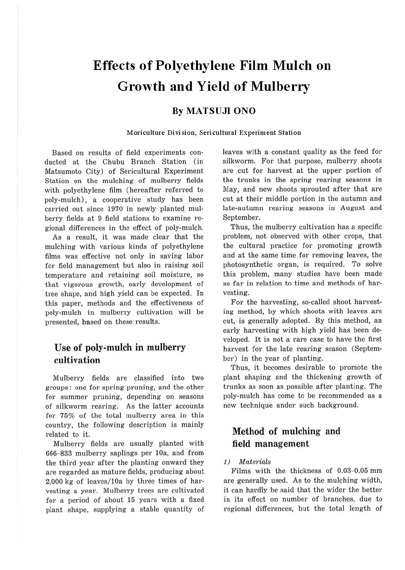# **Effects of Polyethylene Film Mulch on Growth and Yield of Mulberry**

# **By MATSUJI ONO**

## **Moriculture Division, Sericultural Experiment Station**

Based on results of field experiments conducted at the Chubu Branch Station (in Matsumoto City) of Sericultural Experiment Station on the mulching of mulberry fields with polyethylene film (hereafter referred to poly-mulch), a cooperative study has been carried out since 1970 in newly planted mulberry fields at 9 field stations to examine regional differences in the effect of poly-mulch.

As a result, it was made clear that the mulching with various kinds of polyethylene films was effective not only in saving labor for field management but also in raising soil temperature and retaining soil moisture, so that vigorous growth, early development of tree shape, and high yield can be expected. In this paper, methods and the effectiveness of poly-mulch in mulberry cultivation will be presented, based on these results.

# **Use of poly-mulch in mulberry cultivation**

Mulberry fields are classified into two groups: one for spring pruning, and the other for summer pruning, depending on seasons of silkworm rearing. As the latter accounts for 75% of the total mulberry area in this country, the following description is mainly related to it.

Mulberry fields are usually planted with 666-833 mulberry saplings per 10a, and from the third year after the planting onward they are regarded as mature fields, producing about 2,000 kg of leaves/lOa by three times of harvesting a year. Mulberry trees are cultivated for a period of about 15 years with a fixed plant shape, supplying a stable quantity of leaves with a constant quality as the feed for silkworm. For that purpose, mulberry shoots are cut for harvest at the upper portion of the trunks in the spring rearing seasons in May, and new shoots sprouted after that are cut at their middle portion in the autumn and late-autumn rearing seasons in August and September.

Thus, the mulberry cultivation has a specific problem, not observed with other crops, that the cultural practice for promoting growth and at the same time for removing leaves, the photosynthetic organ, is required. To solve this problem, many studies have been made so far in relation to time and methods of harvesting.

For the harvesting, so-called shoot harvesting method, by which shoots with leaves are cut, is generally adopted. By this method, an early harvesting with high yield has been developed. It is not a rare case to have the first harvest for the late rearing season (September) in the year of planting.

Thus, it becomes desirable to promote the plant shaping and the thickening growth of trunks as soon as possible after planting. The poly-mulch has come to be recommended as a new technique under such background.

# **Method of mulching and field management**

## 1) Materials

Films with the thickness of 0.03-0.05 mm are generally used. As to the mulching width, it can hardly be said that the wider the better in its effect on number of branches, due to regional differences, but the total length of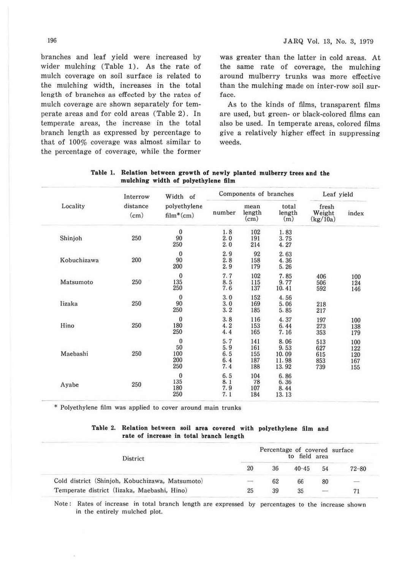branches and leaf yield were increased by wider mulching (Table 1). As the rate of mulch coverage on soil surface is related to the mulching width, increases in the total length of branches as effected by the rates of mulch coverage are shown separately for temperate areas and for cold areas (Table 2). In temperate areas, the increase in the total branch length as expressed by percentage to that of 100% coverage was almost similar to the percentage of coverage, while the former was greater than the latter in cold areas. At the same rate of coverage, the mulching around mulberry trunks was more effective than the mulching made on inter-row soil surface.

As to the kinds of films, transparent films are used, but green- or black-colored films can also be used. In temperate areas, colored films give a relatively higher effect in suppressing weeds.

|             | Interrow         | Width of<br>polyethylene<br>$film*(cm)$ | Components of branches          |                                 |                                         | Leaf yield                      |                                 |  |
|-------------|------------------|-----------------------------------------|---------------------------------|---------------------------------|-----------------------------------------|---------------------------------|---------------------------------|--|
| Locality    | distance<br>(cm) |                                         | number                          | mean<br>length<br>(cm)          | total<br>length<br>(m)                  | fresh<br>Weight<br>(kg/10a)     | index                           |  |
| Shinjoh     | 250              | $\mathbf{0}$<br>90<br>250               | 1.8<br>2.0<br>2.0               | 102<br>191<br>214               | 1.83<br>3.75<br>4.27                    |                                 |                                 |  |
| Kobuchizawa | 200              | $\mathbf{0}$<br>90<br>200               | 2.9<br>2.8<br>2.9               | 92<br>158<br>179                | 2.63<br>4.36<br>5.26                    |                                 |                                 |  |
| Matsumoto   | 250              | $\mathbf{0}$<br>135<br>250              | 7.7<br>8.5<br>7.6               | 102<br>115<br>137               | 7.85<br>9.77<br>10.41                   | 406<br>506<br>592               | 100<br>124<br>146               |  |
| Iizaka      | 250              | $\bf{0}$<br>90<br>250                   | 3.0<br>3.0<br>3.2               | 152<br>169<br>185               | 4.56<br>5.06<br>5.85                    | 218<br>217                      |                                 |  |
| Hino        | 250              | $\theta$<br>180<br>250                  | 3.8<br>4.2<br>4.4               | 116<br>153<br>165               | 4.37<br>6.44<br>7.16                    | 197<br>273<br>353               | 100<br>138<br>179               |  |
| Maebashi    | 250              | $\bf{0}$<br>50<br>100<br>200<br>250     | 5.7<br>5.9<br>6.5<br>6.4<br>7.4 | 141<br>161<br>155<br>187<br>188 | 8.06<br>9.53<br>10.09<br>11.98<br>13.92 | 513<br>627<br>615<br>853<br>739 | 100<br>122<br>120<br>167<br>155 |  |
| Ayabe       | 250              | $\bf{0}$<br>135<br>180<br>250           | 6.5<br>8.1<br>7.9<br>7.1        | 104<br>78<br>107<br>184         | 6.86<br>6.36<br>8.44<br>13.13           |                                 |                                 |  |

| Table 1. Relation between growth of newly planted mulberry trees and the |                                     |  |  |  |  |
|--------------------------------------------------------------------------|-------------------------------------|--|--|--|--|
|                                                                          | mulching width of polyethylene film |  |  |  |  |

\* Polyethylene film was applied to cover around main trunks

#### Table 2. Relation between soil **area** covered with polyethylene film and **rate of increase** in **total branch length**

| District                                        |               | Percentage of covered surface |           |                          |           |
|-------------------------------------------------|---------------|-------------------------------|-----------|--------------------------|-----------|
|                                                 | 20            | 36                            | $40 - 45$ | 54                       | $72 - 80$ |
| Cold district (Shinjoh, Kobuchizawa, Matsumoto) | $\rightarrow$ | 62                            | 66        | 80                       | $\equiv$  |
| Temperate district (Iizaka, Maebashi, Hino)     | 25            | 39                            | 35        | $\overline{\phantom{a}}$ |           |

Note: Rates of increase in total branch length are expressed by percentages to the increase shown in the entirely mulched plot.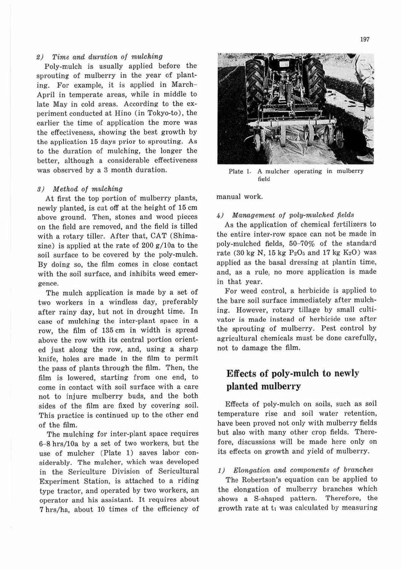# 2) Time and duration of mulching

Poly-mulch is usually applied before the sprouting of mulberry in the year of planting. For example, it is applied in March-April in temperate areas, while in middle to late May in cold areas. According to the experiment conducted at Hino (in Tokyo-to), the earlier the time of application the more was the effectiveness, showing the best growth by the application 15 days prior to sprouting. As to the duration of mulching, the longer the better, although a considerable effectiveness was observed by a 3 month duration.

# 3) Method of mulching

At first the top portion of mulberry plants, newly planted, is cut off at the height of 15 cm above ground. Then, stones and wood pieces on the field are removed, and the field is tilled with a rotary tiller. After that, CAT (Shimazine) is applied at the rate of  $200 g/10a$  to the soil surface to be covered by the poly-mulch. By doing so, the film comes in close contact with the soil surface, and inhibits weed emergence.

The mulch application is made by a set of two workers in a windless day, preferably after rainy day, but not in drought time. In case of mulching the inter-plant space in a row, the film of 135 cm in width is spread above the row with its central portion oriented just along the row, and, using a sharp knife, holes are made in the film to permit the pass of plants through the film. Then, the film is lowered, starting from one end, to come in contact with soil surface with a care not to injure mulberry buds, and the both sides of the film are fixed by covering soil. This practice is continued up to the other end of the film.

The mulching for inter-plant space requires 6-8 hrs/lOa by a set of two workers, but the use of mulcher (Plate 1) saves labor considerably. The mulcher, which was developed in the Sericulture Division of Sericultural Experiment Station, is attached to a riding type tractor, and operated by two workers, an operator and his assistant. It requires about 7 hrs/ha, about 10 times of the efficiency of



Plate ). A mulcher operating in mulberry field

manual work.

#### 4) Management of poly-mulched fields

As the application of chemical fertilizers to the entire inter-row space can not be made in poly-mulched fields, 50-70% of the standard rate (30 kg N, 15 kg  $P_2O_5$  and 17 kg  $K_2O$ ) was applied as the basal dressing at plantin time, and, as a rule, no more application is made in that year.

For weed control, a herbicide is applied to the bare soil surface immediately after mulching. However, rotary tillage by small cultivator is made instead of herbicide use after the sprouting of mulberry. Pest control by agricultural chemicals must be done carefully, not to damage the film.

# **Effects of poly-mulch to newly planted mulbeny**

Effects of poly-mulch on soils, such as soil temperature rise and soil water retention, have been proved not only with mulberry fields but also with many other crop fields. Therefore, discussions will be made here only on its effects on growth and yield of mulberry.

## *1)* Elongation and components of branches

The Robertson's equation can be applied to the elongation of mulberry branches which shows a S-shaped pattern. Therefore, the growth rate at  $t_1$  was calculated by measuring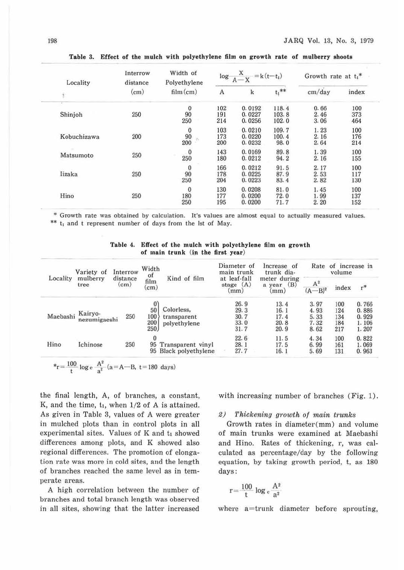| Locality    | Interrow<br>distance | Width of<br>Polyethylene                           |                   | $\log \frac{X}{A-X} = k(t-t_1)$ | Growth rate at $t_1$ <sup>*</sup> |                      |                   |
|-------------|----------------------|----------------------------------------------------|-------------------|---------------------------------|-----------------------------------|----------------------|-------------------|
| £           | (cm)                 | film(cm)                                           | $\mathbf{A}$      | k                               | $t_1$ **                          | cm/day               | index             |
| Shinjoh     | 250                  | $\mathbf{0}$<br>90<br>250                          | 102<br>191<br>214 | 0.0192<br>0.0227<br>0.0256      | 118.4<br>103.8<br>102.0           | 0.66<br>2.46<br>3.06 | 100<br>373<br>464 |
| Kobuchizawa | 200                  | $\begin{smallmatrix} 0\\90\\200 \end{smallmatrix}$ | 103<br>173<br>200 | 0.0210<br>0.0220<br>0.0232      | 109.7<br>100.4<br>98.0            | 1.23<br>2.16<br>2.64 | 100<br>176<br>214 |
| Matsumoto   | 250                  | $\begin{array}{c} 0 \\ 250 \end{array}$            | 143<br>180        | 0.0169<br>0.0212                | 89.8<br>94.2                      | 1.39<br>2.16         | 100<br>155        |
| lizaka      | 250                  | $\begin{smallmatrix}0\90\end{smallmatrix}$<br>250  | 166<br>178<br>204 | 0.0212<br>0.0225<br>0.0223      | 91.5<br>87.9<br>83.4              | 2.17<br>2.53<br>2.82 | 100<br>117<br>130 |
| Hino        | 250                  | $\theta$<br>180<br>250                             | 130<br>177<br>195 | 0.0208<br>0.0200<br>0.0200      | 81.0<br>72.0<br>71.7              | 1.45<br>1.99<br>2.20 | 100<br>137<br>152 |

**Table 3. Effect of the** mulch **with polyethylene** film **on growth rate of mulberry shoots** 

\* Growth rate was obtained by calculation. It's values are almost equal to actually measured values. \*\* t<sub>1</sub> and t represent number of days from the 1st of May.

| Table 4. Effect of the mulch with polyethylene film on growth |  |
|---------------------------------------------------------------|--|
| of main trunk (in the first year)                             |  |

| Locality | Variety of              | Interrow         | Width<br>of                                 |                                           | Diameter of<br>main trunk            | Increase of<br>trunk dia-                | Rate<br>οf<br>increase in<br>volume  |                                 |                                           |
|----------|-------------------------|------------------|---------------------------------------------|-------------------------------------------|--------------------------------------|------------------------------------------|--------------------------------------|---------------------------------|-------------------------------------------|
|          | mulberry<br>tree        | distance<br>(cm) | Kind of film<br>film<br>$\text{cm})$        |                                           | at leaf-fall<br>(A)<br>stage<br>mm)  | meter during<br>(B)<br>year<br>a<br>(mm) | $A^2$<br>$(A - B)^2$                 | index                           | $r^*$                                     |
| Maebashi | Kairyo-<br>nezumigaeshi | 250              | $\boldsymbol{0}$<br>50<br>100<br>200<br>250 | Colorless,<br>transparent<br>polyethylene | 26.9<br>29.3<br>30.7<br>33.0<br>31.7 | 13.4<br>16.1<br>17.4<br>20.8<br>20.9     | 3.97<br>4.93<br>5.33<br>7.32<br>8.62 | 100<br>124<br>134<br>184<br>217 | 0.766<br>0.886<br>0.929<br>1.106<br>1.207 |
| Hino     | Ichinose                | 250              | 95<br>95                                    | Transparent vinyl<br>Black polyethylene   | 22.6<br>28.1<br>27.7                 | 11.5<br>17.5<br>16.1                     | 4.34<br>6.99<br>5.69                 | 100<br>161<br>131               | 0.822<br>1.069<br>0.963                   |

$$
*_{r} = \frac{100}{t} \log e \frac{A^2}{a^2} (a = A - B, t = 180 \text{ days})
$$

the final length, A, of branches, a constant, K, and the time,  $t_1$ , when  $1/2$  of A is attained. As given in Table 3, values of A were greater in mulched plots than in control plots in all experimental sites. Values of K and  $t_1$  showed differences among plots, and K showed also regional differences. The promotion of elongation rate was more in cold sites, and the length of branches reached the same level as in temperate areas.

A high correlation between the number of branches and total branch length was observed in all sites, showing that the latter increased with increasing number of branches (Fig. 1).

## 2) Thickening growth of main trunks

Growth rates in diameter(mm) and volume of main trunks were examined at Maebashi and Hino. Rates of thickening, r, was calculated as percentage/day by the following equation, by taking growth period, t, as 180 days:

$$
r = \frac{100}{t} \log e \frac{A^2}{a^2}
$$

where a=trunk diameter before sprouting,